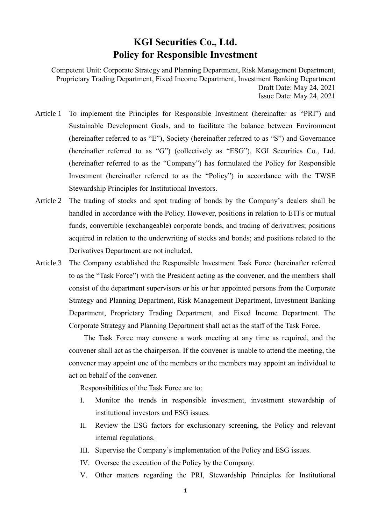## **KGI Securities Co., Ltd. Policy for Responsible Investment**

Competent Unit: Corporate Strategy and Planning Department, Risk Management Department, Proprietary Trading Department, Fixed Income Department, Investment Banking Department Draft Date: May 24, 2021 Issue Date: May 24, 2021

- Article 1 To implement the Principles for Responsible Investment (hereinafter as "PRI") and Sustainable Development Goals, and to facilitate the balance between Environment (hereinafter referred to as "E"), Society (hereinafter referred to as "S") and Governance (hereinafter referred to as "G") (collectively as "ESG"), KGI Securities Co., Ltd. (hereinafter referred to as the "Company") has formulated the Policy for Responsible Investment (hereinafter referred to as the "Policy") in accordance with the TWSE Stewardship Principles for Institutional Investors.
- Article 2 The trading of stocks and spot trading of bonds by the Company's dealers shall be handled in accordance with the Policy. However, positions in relation to ETFs or mutual funds, convertible (exchangeable) corporate bonds, and trading of derivatives; positions acquired in relation to the underwriting of stocks and bonds; and positions related to the Derivatives Department are not included.
- Article 3 The Company established the Responsible Investment Task Force (hereinafter referred to as the "Task Force") with the President acting as the convener, and the members shall consist of the department supervisors or his or her appointed persons from the Corporate Strategy and Planning Department, Risk Management Department, Investment Banking Department, Proprietary Trading Department, and Fixed Income Department. The Corporate Strategy and Planning Department shall act as the staff of the Task Force.

The Task Force may convene a work meeting at any time as required, and the convener shall act as the chairperson. If the convener is unable to attend the meeting, the convener may appoint one of the members or the members may appoint an individual to act on behalf of the convener.

Responsibilities of the Task Force are to:

- I. Monitor the trends in responsible investment, investment stewardship of institutional investors and ESG issues.
- II. Review the ESG factors for exclusionary screening, the Policy and relevant internal regulations.
- III. Supervise the Company's implementation of the Policy and ESG issues.
- IV. Oversee the execution of the Policy by the Company.
- V. Other matters regarding the PRI, Stewardship Principles for Institutional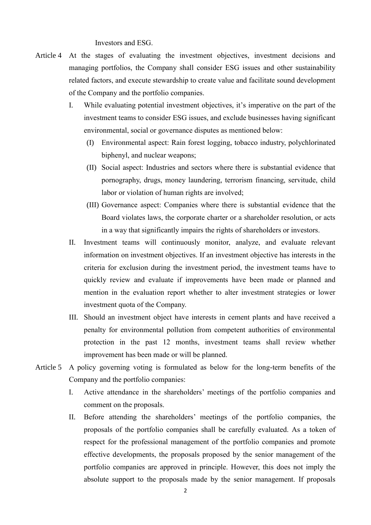Investors and ESG.

- Article 4 At the stages of evaluating the investment objectives, investment decisions and managing portfolios, the Company shall consider ESG issues and other sustainability related factors, and execute stewardship to create value and facilitate sound development of the Company and the portfolio companies.
	- I. While evaluating potential investment objectives, it's imperative on the part of the investment teams to consider ESG issues, and exclude businesses having significant environmental, social or governance disputes as mentioned below:
		- (I) Environmental aspect: Rain forest logging, tobacco industry, polychlorinated biphenyl, and nuclear weapons;
		- (II) Social aspect: Industries and sectors where there is substantial evidence that pornography, drugs, money laundering, terrorism financing, servitude, child labor or violation of human rights are involved;
		- (III) Governance aspect: Companies where there is substantial evidence that the Board violates laws, the corporate charter or a shareholder resolution, or acts in a way that significantly impairs the rights of shareholders or investors.
	- II. Investment teams will continuously monitor, analyze, and evaluate relevant information on investment objectives. If an investment objective has interests in the criteria for exclusion during the investment period, the investment teams have to quickly review and evaluate if improvements have been made or planned and mention in the evaluation report whether to alter investment strategies or lower investment quota of the Company.
	- III. Should an investment object have interests in cement plants and have received a penalty for environmental pollution from competent authorities of environmental protection in the past 12 months, investment teams shall review whether improvement has been made or will be planned.
- Article 5 A policy governing voting is formulated as below for the long-term benefits of the Company and the portfolio companies:
	- I. Active attendance in the shareholders' meetings of the portfolio companies and comment on the proposals.
	- II. Before attending the shareholders' meetings of the portfolio companies, the proposals of the portfolio companies shall be carefully evaluated. As a token of respect for the professional management of the portfolio companies and promote effective developments, the proposals proposed by the senior management of the portfolio companies are approved in principle. However, this does not imply the absolute support to the proposals made by the senior management. If proposals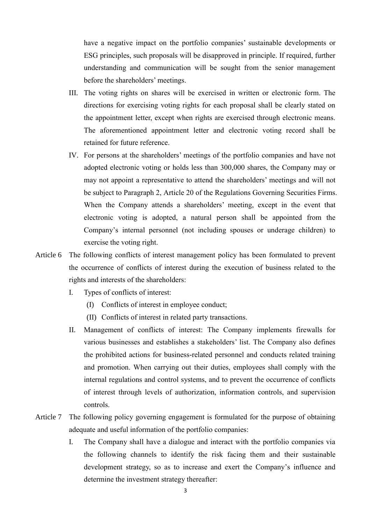have a negative impact on the portfolio companies' sustainable developments or ESG principles, such proposals will be disapproved in principle. If required, further understanding and communication will be sought from the senior management before the shareholders' meetings.

- III. The voting rights on shares will be exercised in written or electronic form. The directions for exercising voting rights for each proposal shall be clearly stated on the appointment letter, except when rights are exercised through electronic means. The aforementioned appointment letter and electronic voting record shall be retained for future reference.
- IV. For persons at the shareholders' meetings of the portfolio companies and have not adopted electronic voting or holds less than 300,000 shares, the Company may or may not appoint a representative to attend the shareholders' meetings and will not be subject to Paragraph 2, Article 20 of the Regulations Governing Securities Firms. When the Company attends a shareholders' meeting, except in the event that electronic voting is adopted, a natural person shall be appointed from the Company's internal personnel (not including spouses or underage children) to exercise the voting right.
- Article 6 The following conflicts of interest management policy has been formulated to prevent the occurrence of conflicts of interest during the execution of business related to the rights and interests of the shareholders:
	- I. Types of conflicts of interest:
		- (I) Conflicts of interest in employee conduct;
		- (II) Conflicts of interest in related party transactions.
	- II. Management of conflicts of interest: The Company implements firewalls for various businesses and establishes a stakeholders' list. The Company also defines the prohibited actions for business-related personnel and conducts related training and promotion. When carrying out their duties, employees shall comply with the internal regulations and control systems, and to prevent the occurrence of conflicts of interest through levels of authorization, information controls, and supervision controls.
- Article 7 The following policy governing engagement is formulated for the purpose of obtaining adequate and useful information of the portfolio companies:
	- I. The Company shall have a dialogue and interact with the portfolio companies via the following channels to identify the risk facing them and their sustainable development strategy, so as to increase and exert the Company's influence and determine the investment strategy thereafter: